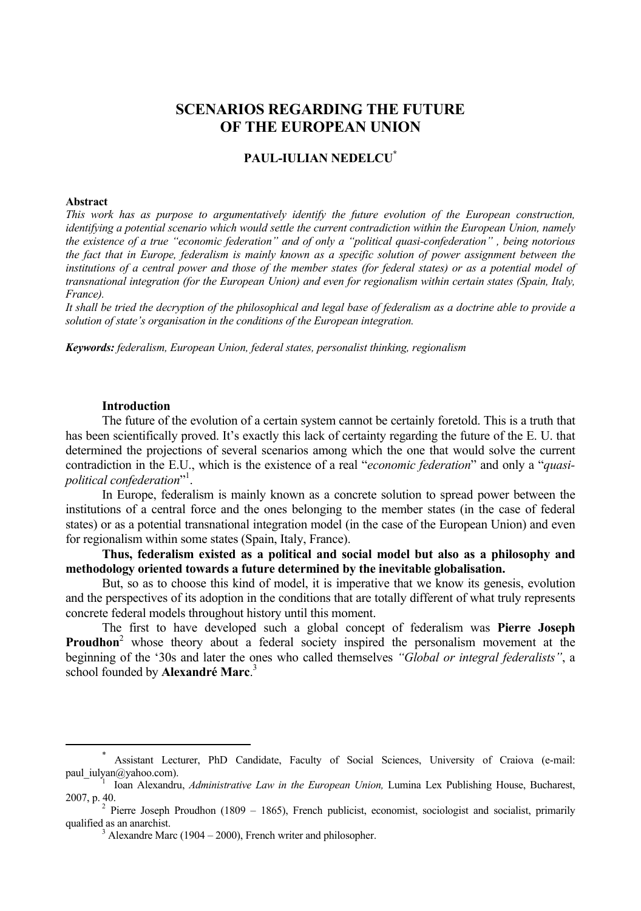# **SCENARIOS REGARDING THE FUTURE OF THE EUROPEAN UNION**

# **PAUL-IULIAN NEDELCU\***

#### **Abstract**

*This work has as purpose to argumentatively identify the future evolution of the European construction, identifying a potential scenario which would settle the current contradiction within the European Union, namely the existence of a true "economic federation" and of only a "political quasi-confederation" , being notorious the fact that in Europe, federalism is mainly known as a specific solution of power assignment between the*  institutions of a central power and those of the member states (for federal states) or as a potential model of *transnational integration (for the European Union) and even for regionalism within certain states (Spain, Italy, France).* 

*It shall be tried the decryption of the philosophical and legal base of federalism as a doctrine able to provide a solution of state's organisation in the conditions of the European integration.* 

*Keywords: federalism, European Union, federal states, personalist thinking, regionalism* 

### **Introduction**

The future of the evolution of a certain system cannot be certainly foretold. This is a truth that has been scientifically proved. It's exactly this lack of certainty regarding the future of the E. U. that determined the projections of several scenarios among which the one that would solve the current contradiction in the E.U., which is the existence of a real "*economic federation*" and only a "*quasipolitical confederation*" 1 .

In Europe, federalism is mainly known as a concrete solution to spread power between the institutions of a central force and the ones belonging to the member states (in the case of federal states) or as a potential transnational integration model (in the case of the European Union) and even for regionalism within some states (Spain, Italy, France).

**Thus, federalism existed as a political and social model but also as a philosophy and methodology oriented towards a future determined by the inevitable globalisation.** 

But, so as to choose this kind of model, it is imperative that we know its genesis, evolution and the perspectives of its adoption in the conditions that are totally different of what truly represents concrete federal models throughout history until this moment.

The first to have developed such a global concept of federalism was **Pierre Joseph**  Proudhon<sup>2</sup> whose theory about a federal society inspired the personalism movement at the beginning of the '30s and later the ones who called themselves *"Global or integral federalists"*, a school founded by **Alexandré Marc**. 3

 $\overline{\phantom{a}}$  Assistant Lecturer, PhD Candidate, Faculty of Social Sciences, University of Craiova (e-mail: paul\_iulyan@yahoo.com).

<sup>&</sup>lt;sup>1</sup> Ioan Alexandru, *Administrative Law in the European Union*, Lumina Lex Publishing House, Bucharest, 2007, p. 40. 2

 $2$  Pierre Joseph Proudhon (1809 – 1865), French publicist, economist, sociologist and socialist, primarily qualified as an anarchist.

 $3$  Alexandre Marc (1904 – 2000), French writer and philosopher.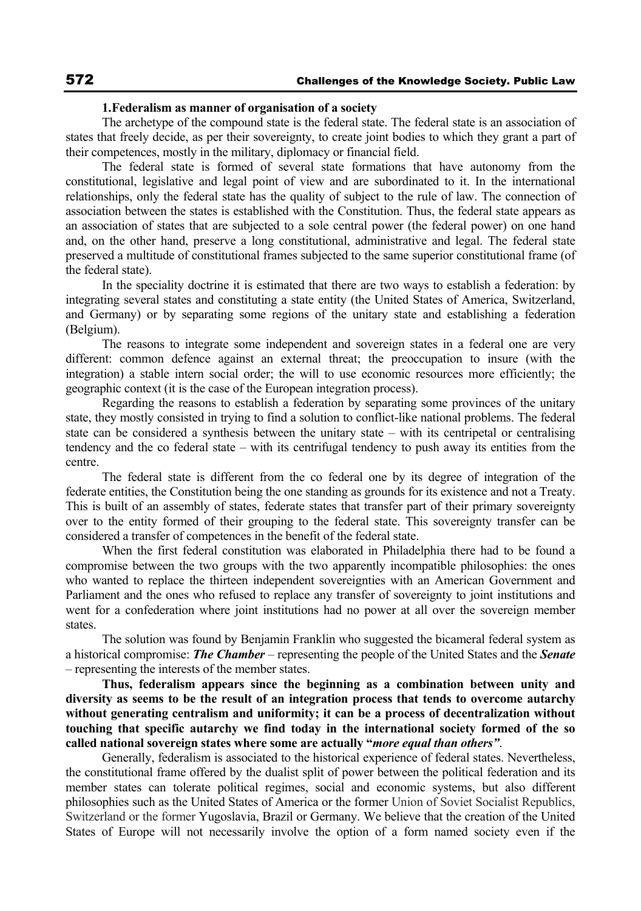## **1.Federalism as manner of organisation of a society**

The archetype of the compound state is the federal state. The federal state is an association of states that freely decide, as per their sovereignty, to create joint bodies to which they grant a part of their competences, mostly in the military, diplomacy or financial field.

The federal state is formed of several state formations that have autonomy from the constitutional, legislative and legal point of view and are subordinated to it. In the international relationships, only the federal state has the quality of subject to the rule of law. The connection of association between the states is established with the Constitution. Thus, the federal state appears as an association of states that are subjected to a sole central power (the federal power) on one hand and, on the other hand, preserve a long constitutional, administrative and legal. The federal state preserved a multitude of constitutional frames subjected to the same superior constitutional frame (of the federal state).

In the speciality doctrine it is estimated that there are two ways to establish a federation: by integrating several states and constituting a state entity (the United States of America, Switzerland, and Germany) or by separating some regions of the unitary state and establishing a federation (Belgium).

The reasons to integrate some independent and sovereign states in a federal one are very different: common defence against an external threat; the preoccupation to insure (with the integration) a stable intern social order; the will to use economic resources more efficiently; the geographic context (it is the case of the European integration process).

Regarding the reasons to establish a federation by separating some provinces of the unitary state, they mostly consisted in trying to find a solution to conflict-like national problems. The federal state can be considered a synthesis between the unitary state – with its centripetal or centralising tendency and the co federal state – with its centrifugal tendency to push away its entities from the centre.

The federal state is different from the co federal one by its degree of integration of the federate entities, the Constitution being the one standing as grounds for its existence and not a Treaty. This is built of an assembly of states, federate states that transfer part of their primary sovereignty over to the entity formed of their grouping to the federal state. This sovereignty transfer can be considered a transfer of competences in the benefit of the federal state.

When the first federal constitution was elaborated in Philadelphia there had to be found a compromise between the two groups with the two apparently incompatible philosophies: the ones who wanted to replace the thirteen independent sovereignties with an American Government and Parliament and the ones who refused to replace any transfer of sovereignty to joint institutions and went for a confederation where joint institutions had no power at all over the sovereign member states.

The solution was found by Benjamin Franklin who suggested the bicameral federal system as a historical compromise: *The Chamber* – representing the people of the United States and the *Senate* – representing the interests of the member states.

**Thus, federalism appears since the beginning as a combination between unity and diversity as seems to be the result of an integration process that tends to overcome autarchy without generating centralism and uniformity; it can be a process of decentralization without touching that specific autarchy we find today in the international society formed of the so called national sovereign states where some are actually "***more equal than others"*.

Generally, federalism is associated to the historical experience of federal states. Nevertheless, the constitutional frame offered by the dualist split of power between the political federation and its member states can tolerate political regimes, social and economic systems, but also different philosophies such as the United States of America or the former Union of Soviet Socialist Republics, Switzerland or the former Yugoslavia, Brazil or Germany. We believe that the creation of the United States of Europe will not necessarily involve the option of a form named society even if the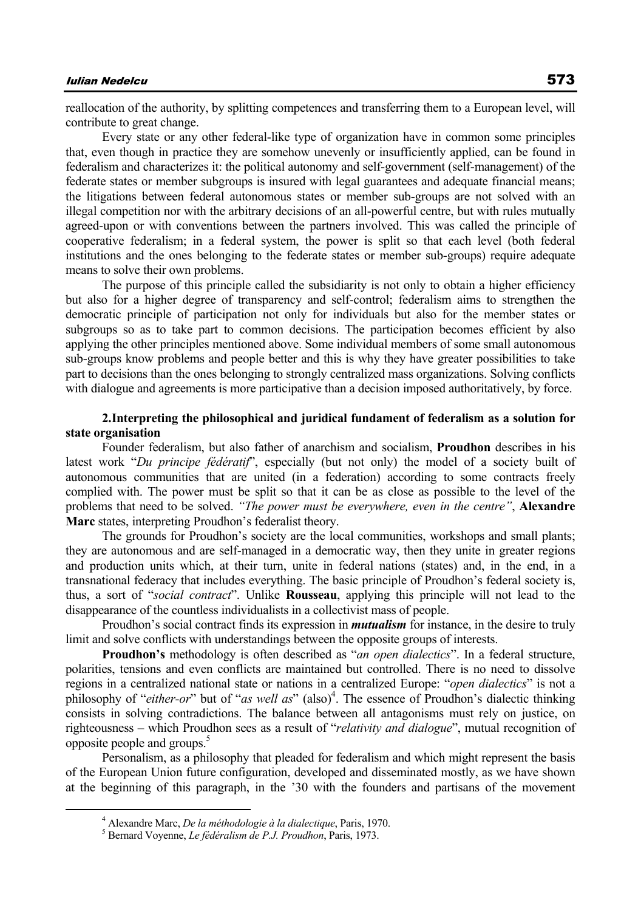# Iulian Nedelcu 573

reallocation of the authority, by splitting competences and transferring them to a European level, will contribute to great change.

Every state or any other federal-like type of organization have in common some principles that, even though in practice they are somehow unevenly or insufficiently applied, can be found in federalism and characterizes it: the political autonomy and self-government (self-management) of the federate states or member subgroups is insured with legal guarantees and adequate financial means; the litigations between federal autonomous states or member sub-groups are not solved with an illegal competition nor with the arbitrary decisions of an all-powerful centre, but with rules mutually agreed-upon or with conventions between the partners involved. This was called the principle of cooperative federalism; in a federal system, the power is split so that each level (both federal institutions and the ones belonging to the federate states or member sub-groups) require adequate means to solve their own problems.

The purpose of this principle called the subsidiarity is not only to obtain a higher efficiency but also for a higher degree of transparency and self-control; federalism aims to strengthen the democratic principle of participation not only for individuals but also for the member states or subgroups so as to take part to common decisions. The participation becomes efficient by also applying the other principles mentioned above. Some individual members of some small autonomous sub-groups know problems and people better and this is why they have greater possibilities to take part to decisions than the ones belonging to strongly centralized mass organizations. Solving conflicts with dialogue and agreements is more participative than a decision imposed authoritatively, by force.

## **2.Interpreting the philosophical and juridical fundament of federalism as a solution for state organisation**

Founder federalism, but also father of anarchism and socialism, **Proudhon** describes in his latest work "*Du principe fédératif*", especially (but not only) the model of a society built of autonomous communities that are united (in a federation) according to some contracts freely complied with. The power must be split so that it can be as close as possible to the level of the problems that need to be solved. *"The power must be everywhere, even in the centre"*, **Alexandre Marc** states, interpreting Proudhon's federalist theory.

The grounds for Proudhon's society are the local communities, workshops and small plants; they are autonomous and are self-managed in a democratic way, then they unite in greater regions and production units which, at their turn, unite in federal nations (states) and, in the end, in a transnational federacy that includes everything. The basic principle of Proudhon's federal society is, thus, a sort of "*social contract*". Unlike **Rousseau**, applying this principle will not lead to the disappearance of the countless individualists in a collectivist mass of people.

Proudhon's social contract finds its expression in *mutualism* for instance, in the desire to truly limit and solve conflicts with understandings between the opposite groups of interests.

**Proudhon's** methodology is often described as "*an open dialectics*". In a federal structure, polarities, tensions and even conflicts are maintained but controlled. There is no need to dissolve regions in a centralized national state or nations in a centralized Europe: "*open dialectics*" is not a philosophy of "*either-or*" but of "*as well as*" (also)<sup>4</sup>. The essence of Proudhon's dialectic thinking consists in solving contradictions. The balance between all antagonisms must rely on justice, on righteousness – which Proudhon sees as a result of "*relativity and dialogue*", mutual recognition of opposite people and groups.<sup>5</sup>

Personalism, as a philosophy that pleaded for federalism and which might represent the basis of the European Union future configuration, developed and disseminated mostly, as we have shown at the beginning of this paragraph, in the '30 with the founders and partisans of the movement

 $\frac{1}{4}$ Alexandre Marc, *De la méthodologie à la dialectique*, Paris, 1970. 5

Bernard Voyenne, *Le fédéralism de P.J. Proudhon*, Paris, 1973.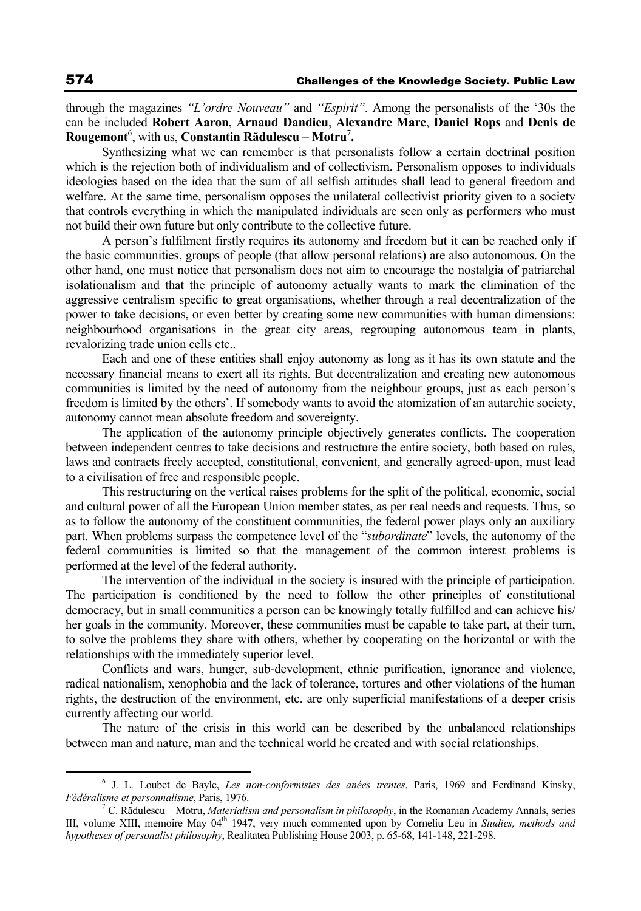through the magazines *"L'ordre Nouveau"* and *"Espirit"*. Among the personalists of the '30s the can be included **Robert Aaron**, **Arnaud Dandieu**, **Alexandre Marc**, **Daniel Rops** and **Denis de Rougemont**<sup>6</sup> , with us, **Constantin Rădulescu – Motru**<sup>7</sup> **.**

Synthesizing what we can remember is that personalists follow a certain doctrinal position which is the rejection both of individualism and of collectivism. Personalism opposes to individuals ideologies based on the idea that the sum of all selfish attitudes shall lead to general freedom and welfare. At the same time, personalism opposes the unilateral collectivist priority given to a society that controls everything in which the manipulated individuals are seen only as performers who must not build their own future but only contribute to the collective future.

A person's fulfilment firstly requires its autonomy and freedom but it can be reached only if the basic communities, groups of people (that allow personal relations) are also autonomous. On the other hand, one must notice that personalism does not aim to encourage the nostalgia of patriarchal isolationalism and that the principle of autonomy actually wants to mark the elimination of the aggressive centralism specific to great organisations, whether through a real decentralization of the power to take decisions, or even better by creating some new communities with human dimensions: neighbourhood organisations in the great city areas, regrouping autonomous team in plants, revalorizing trade union cells etc..

Each and one of these entities shall enjoy autonomy as long as it has its own statute and the necessary financial means to exert all its rights. But decentralization and creating new autonomous communities is limited by the need of autonomy from the neighbour groups, just as each person's freedom is limited by the others'. If somebody wants to avoid the atomization of an autarchic society, autonomy cannot mean absolute freedom and sovereignty.

The application of the autonomy principle objectively generates conflicts. The cooperation between independent centres to take decisions and restructure the entire society, both based on rules, laws and contracts freely accepted, constitutional, convenient, and generally agreed-upon, must lead to a civilisation of free and responsible people.

This restructuring on the vertical raises problems for the split of the political, economic, social and cultural power of all the European Union member states, as per real needs and requests. Thus, so as to follow the autonomy of the constituent communities, the federal power plays only an auxiliary part. When problems surpass the competence level of the "*subordinate*" levels, the autonomy of the federal communities is limited so that the management of the common interest problems is performed at the level of the federal authority.

The intervention of the individual in the society is insured with the principle of participation. The participation is conditioned by the need to follow the other principles of constitutional democracy, but in small communities a person can be knowingly totally fulfilled and can achieve his/ her goals in the community. Moreover, these communities must be capable to take part, at their turn, to solve the problems they share with others, whether by cooperating on the horizontal or with the relationships with the immediately superior level.

Conflicts and wars, hunger, sub-development, ethnic purification, ignorance and violence, radical nationalism, xenophobia and the lack of tolerance, tortures and other violations of the human rights, the destruction of the environment, etc. are only superficial manifestations of a deeper crisis currently affecting our world.

The nature of the crisis in this world can be described by the unbalanced relationships between man and nature, man and the technical world he created and with social relationships.

 <sup>6</sup> J. L. Loubet de Bayle, *Les non-conformistes des anées trentes*, Paris, 1969 and Ferdinand Kinsky, *Fédéralisme et personnalisme*, Paris, 1976. 7

<sup>&</sup>lt;sup>7</sup> C. Rădulescu – Motru, *Materialism and personalism in philosophy*, in the Romanian Academy Annals, series III, volume XIII, memoire May 04<sup>th</sup> 1947, very much commented upon by Corneliu Leu in *Studies, methods and hypotheses of personalist philosophy*, Realitatea Publishing House 2003, p. 65-68, 141-148, 221-298.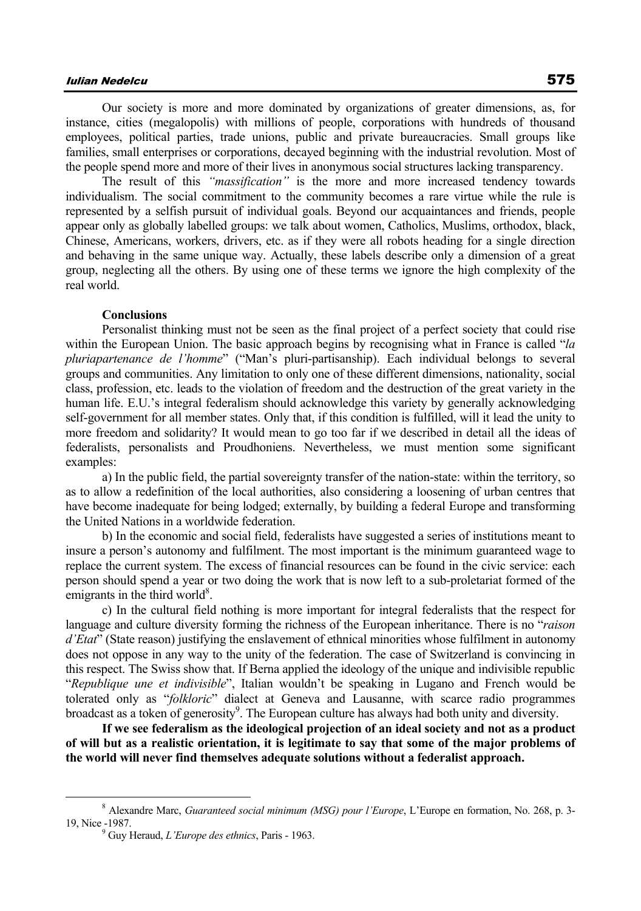Our society is more and more dominated by organizations of greater dimensions, as, for instance, cities (megalopolis) with millions of people, corporations with hundreds of thousand employees, political parties, trade unions, public and private bureaucracies. Small groups like families, small enterprises or corporations, decayed beginning with the industrial revolution. Most of the people spend more and more of their lives in anonymous social structures lacking transparency.

The result of this *"massification"* is the more and more increased tendency towards individualism. The social commitment to the community becomes a rare virtue while the rule is represented by a selfish pursuit of individual goals. Beyond our acquaintances and friends, people appear only as globally labelled groups: we talk about women, Catholics, Muslims, orthodox, black, Chinese, Americans, workers, drivers, etc. as if they were all robots heading for a single direction and behaving in the same unique way. Actually, these labels describe only a dimension of a great group, neglecting all the others. By using one of these terms we ignore the high complexity of the real world.

## **Conclusions**

Personalist thinking must not be seen as the final project of a perfect society that could rise within the European Union. The basic approach begins by recognising what in France is called "*la pluriapartenance de l'homme*" ("Man's pluri-partisanship). Each individual belongs to several groups and communities. Any limitation to only one of these different dimensions, nationality, social class, profession, etc. leads to the violation of freedom and the destruction of the great variety in the human life. E.U.'s integral federalism should acknowledge this variety by generally acknowledging self-government for all member states. Only that, if this condition is fulfilled, will it lead the unity to more freedom and solidarity? It would mean to go too far if we described in detail all the ideas of federalists, personalists and Proudhoniens. Nevertheless, we must mention some significant examples:

a) In the public field, the partial sovereignty transfer of the nation-state: within the territory, so as to allow a redefinition of the local authorities, also considering a loosening of urban centres that have become inadequate for being lodged; externally, by building a federal Europe and transforming the United Nations in a worldwide federation.

b) In the economic and social field, federalists have suggested a series of institutions meant to insure a person's autonomy and fulfilment. The most important is the minimum guaranteed wage to replace the current system. The excess of financial resources can be found in the civic service: each person should spend a year or two doing the work that is now left to a sub-proletariat formed of the emigrants in the third world $8$ .

c) In the cultural field nothing is more important for integral federalists that the respect for language and culture diversity forming the richness of the European inheritance. There is no "*raison d'Etat*" (State reason) justifying the enslavement of ethnical minorities whose fulfilment in autonomy does not oppose in any way to the unity of the federation. The case of Switzerland is convincing in this respect. The Swiss show that. If Berna applied the ideology of the unique and indivisible republic "*Republique une et indivisible*", Italian wouldn't be speaking in Lugano and French would be tolerated only as "*folkloric*" dialect at Geneva and Lausanne, with scarce radio programmes broadcast as a token of generosity<sup>9</sup>. The European culture has always had both unity and diversity.

**If we see federalism as the ideological projection of an ideal society and not as a product of will but as a realistic orientation, it is legitimate to say that some of the major problems of the world will never find themselves adequate solutions without a federalist approach.** 

 <sup>8</sup> Alexandre Marc, *Guaranteed social minimum (MSG) pour l'Europe*, L'Europe en formation, No. 268, p. 3- 19, Nice -1987.

Guy Heraud, *L'Europe des ethnics*, Paris - 1963.